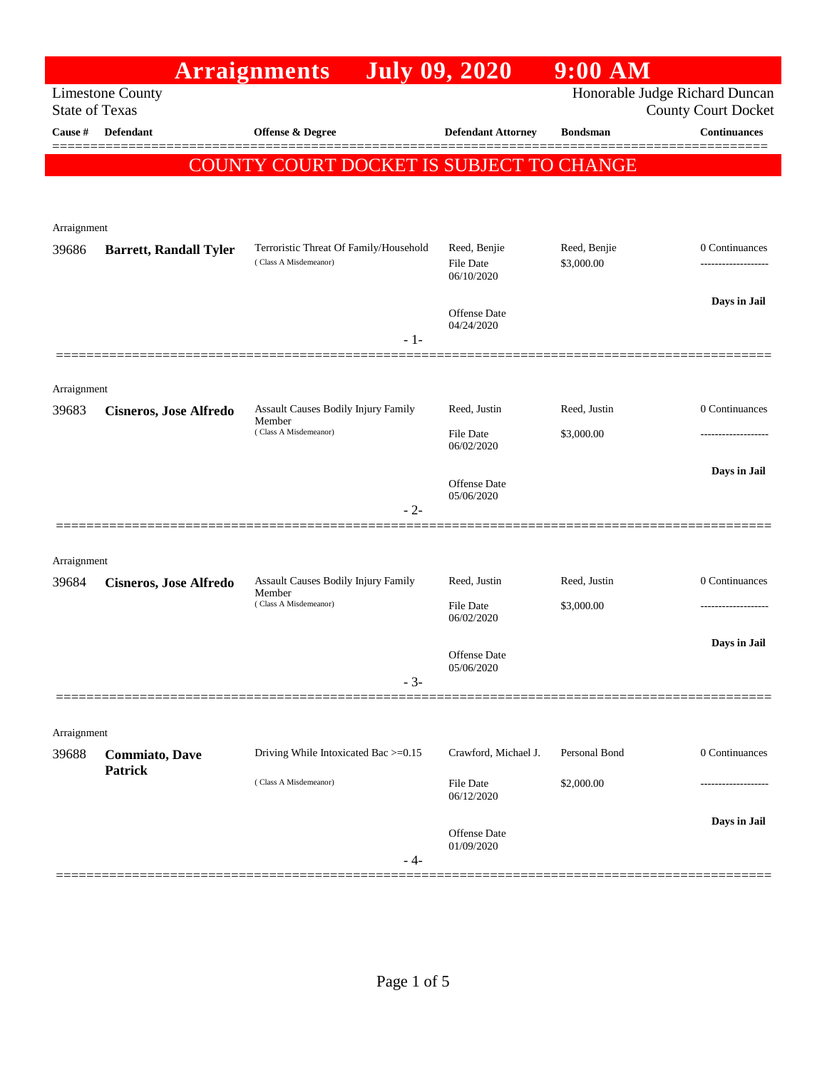|                       |                               | <b>Arraignments</b>                                             | <b>July 09, 2020</b>                           | 9:00 AM                    |                                                              |
|-----------------------|-------------------------------|-----------------------------------------------------------------|------------------------------------------------|----------------------------|--------------------------------------------------------------|
| <b>State of Texas</b> | <b>Limestone County</b>       |                                                                 |                                                |                            | Honorable Judge Richard Duncan<br><b>County Court Docket</b> |
| Cause #               | <b>Defendant</b>              | Offense & Degree                                                | <b>Defendant Attorney</b>                      | <b>Bondsman</b>            | <b>Continuances</b>                                          |
|                       |                               | COUNTY COURT DOCKET IS SUBJECT TO CHANGE                        |                                                |                            |                                                              |
| Arraignment           |                               |                                                                 |                                                |                            |                                                              |
| 39686                 | <b>Barrett, Randall Tyler</b> | Terroristic Threat Of Family/Household<br>(Class A Misdemeanor) | Reed, Benjie<br><b>File Date</b><br>06/10/2020 | Reed, Benjie<br>\$3,000.00 | 0 Continuances                                               |
|                       |                               | - 1-                                                            | <b>Offense</b> Date<br>04/24/2020              |                            | Days in Jail                                                 |
|                       |                               |                                                                 |                                                |                            |                                                              |
| Arraignment           |                               |                                                                 |                                                |                            |                                                              |
| 39683                 | <b>Cisneros, Jose Alfredo</b> | Assault Causes Bodily Injury Family<br>Member                   | Reed, Justin                                   | Reed, Justin               | 0 Continuances                                               |
|                       |                               | (Class A Misdemeanor)                                           | File Date<br>06/02/2020                        | \$3,000.00                 |                                                              |
|                       |                               |                                                                 | Offense Date                                   |                            | Days in Jail                                                 |
|                       |                               | $-2-$                                                           | 05/06/2020                                     |                            |                                                              |
| Arraignment           |                               |                                                                 |                                                |                            |                                                              |
| 39684                 | <b>Cisneros, Jose Alfredo</b> | <b>Assault Causes Bodily Injury Family</b><br>Member            | Reed, Justin                                   | Reed, Justin               | 0 Continuances                                               |
|                       |                               | (Class A Misdemeanor)                                           | File Date<br>06/02/2020                        | \$3,000.00                 |                                                              |
|                       |                               |                                                                 | Offense Date<br>05/06/2020                     |                            | Days in Jail                                                 |
|                       |                               | $-3-$                                                           |                                                |                            |                                                              |
| Arraignment           |                               |                                                                 |                                                |                            |                                                              |
| 39688                 | <b>Commiato</b> , Dave        | Driving While Intoxicated Bac >=0.15                            | Crawford, Michael J.                           | Personal Bond              | 0 Continuances                                               |
|                       | <b>Patrick</b>                | (Class A Misdemeanor)                                           | File Date<br>06/12/2020                        | \$2,000.00                 |                                                              |
|                       |                               | - 4-                                                            | Offense Date<br>01/09/2020                     |                            | Days in Jail                                                 |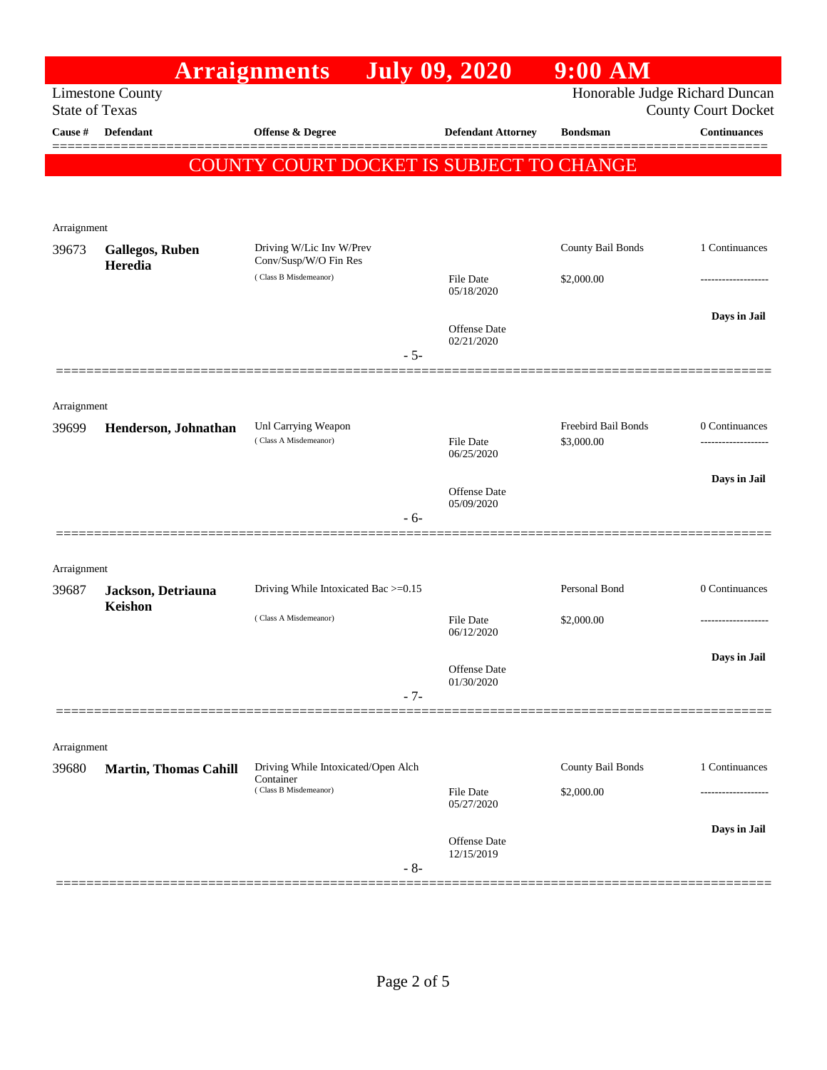|                      |                                                  | <b>Arraignments</b>                              |       | <b>July 09, 2020</b>              | $9:00$ AM           |                                                              |
|----------------------|--------------------------------------------------|--------------------------------------------------|-------|-----------------------------------|---------------------|--------------------------------------------------------------|
|                      | <b>Limestone County</b><br><b>State of Texas</b> |                                                  |       |                                   |                     | Honorable Judge Richard Duncan<br><b>County Court Docket</b> |
| Cause #              | <b>Defendant</b>                                 | Offense & Degree                                 |       | <b>Defendant Attorney</b>         | <b>Bondsman</b>     | <b>Continuances</b>                                          |
|                      |                                                  | COUNTY COURT DOCKET IS SUBJECT TO CHANGE         |       |                                   |                     |                                                              |
|                      |                                                  |                                                  |       |                                   |                     |                                                              |
|                      |                                                  |                                                  |       |                                   |                     |                                                              |
| Arraignment<br>39673 | <b>Gallegos, Ruben</b>                           | Driving W/Lic Inv W/Prev                         |       |                                   | County Bail Bonds   | 1 Continuances                                               |
|                      | Heredia                                          | Conv/Susp/W/O Fin Res<br>(Class B Misdemeanor)   |       |                                   |                     |                                                              |
|                      |                                                  |                                                  |       | File Date<br>05/18/2020           | \$2,000.00          | ------------------                                           |
|                      |                                                  |                                                  |       | <b>Offense Date</b>               |                     | Days in Jail                                                 |
|                      |                                                  |                                                  | $-5-$ | 02/21/2020                        |                     |                                                              |
|                      |                                                  |                                                  |       |                                   |                     |                                                              |
| Arraignment          |                                                  |                                                  |       |                                   |                     |                                                              |
| 39699                | Henderson, Johnathan                             | Unl Carrying Weapon                              |       |                                   | Freebird Bail Bonds | 0 Continuances                                               |
|                      |                                                  | (Class A Misdemeanor)                            |       | File Date<br>06/25/2020           | \$3,000.00          |                                                              |
|                      |                                                  |                                                  |       |                                   |                     | Days in Jail                                                 |
|                      |                                                  |                                                  |       | <b>Offense Date</b><br>05/09/2020 |                     |                                                              |
|                      |                                                  |                                                  | $-6-$ |                                   |                     |                                                              |
| Arraignment          |                                                  |                                                  |       |                                   |                     |                                                              |
| 39687                | Jackson, Detriauna                               | Driving While Intoxicated Bac >=0.15             |       |                                   | Personal Bond       | 0 Continuances                                               |
|                      | Keishon                                          | (Class A Misdemeanor)                            |       | <b>File Date</b>                  | \$2,000.00          |                                                              |
|                      |                                                  |                                                  |       | 06/12/2020                        |                     |                                                              |
|                      |                                                  |                                                  |       | Offense Date                      |                     | Days in Jail                                                 |
|                      |                                                  |                                                  | $-7-$ | 01/30/2020                        |                     |                                                              |
|                      |                                                  |                                                  |       |                                   |                     |                                                              |
| Arraignment          |                                                  |                                                  |       |                                   |                     |                                                              |
| 39680                | <b>Martin, Thomas Cahill</b>                     | Driving While Intoxicated/Open Alch<br>Container |       |                                   | County Bail Bonds   | 1 Continuances                                               |
|                      |                                                  | (Class B Misdemeanor)                            |       | File Date<br>05/27/2020           | \$2,000.00          |                                                              |
|                      |                                                  |                                                  |       |                                   |                     | Days in Jail                                                 |
|                      |                                                  |                                                  |       | Offense Date<br>12/15/2019        |                     |                                                              |
|                      |                                                  |                                                  | $-8-$ |                                   |                     |                                                              |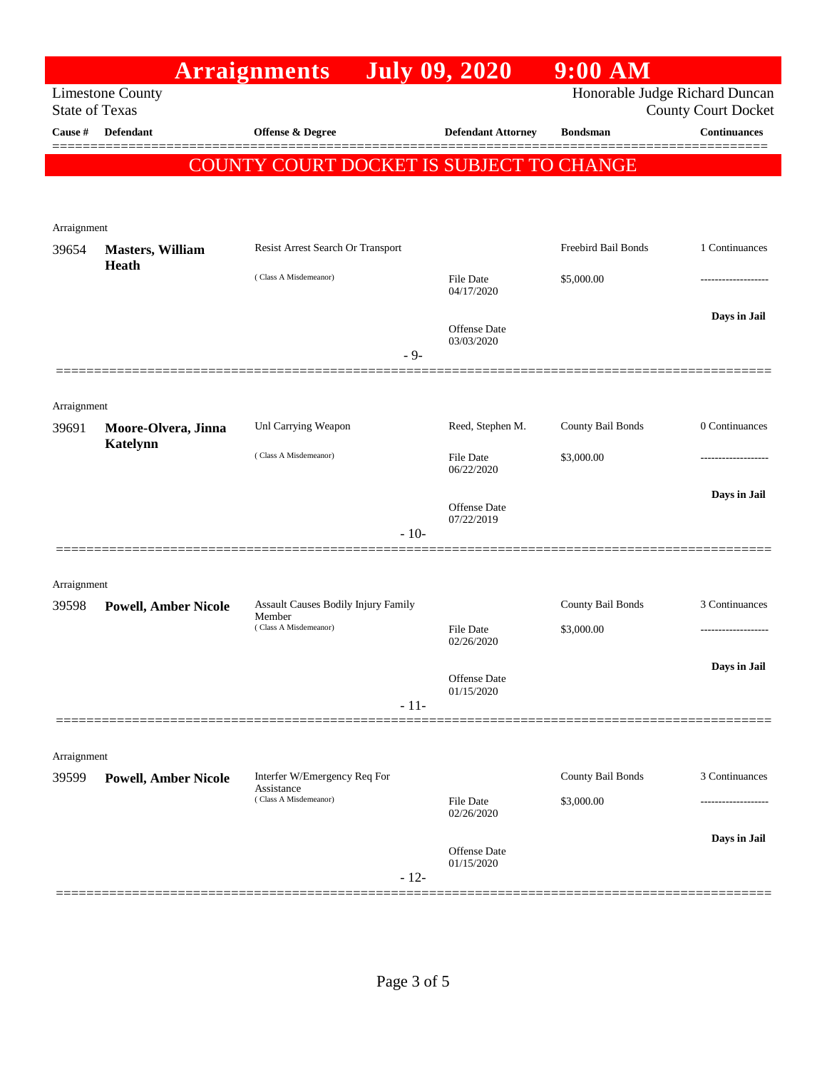|                       |                                         | <b>Arraignments</b>                      | <b>July 09, 2020</b>              | $9:00$ AM           |                                                              |
|-----------------------|-----------------------------------------|------------------------------------------|-----------------------------------|---------------------|--------------------------------------------------------------|
| <b>State of Texas</b> | <b>Limestone County</b>                 |                                          |                                   |                     | Honorable Judge Richard Duncan<br><b>County Court Docket</b> |
| Cause #               | <b>Defendant</b>                        | <b>Offense &amp; Degree</b>              | <b>Defendant Attorney</b>         | <b>Bondsman</b>     | <b>Continuances</b>                                          |
|                       |                                         | COUNTY COURT DOCKET IS SUBJECT TO CHANGE |                                   |                     |                                                              |
|                       |                                         |                                          |                                   |                     |                                                              |
|                       |                                         |                                          |                                   |                     |                                                              |
| Arraignment           |                                         |                                          |                                   |                     |                                                              |
| 39654                 | <b>Masters, William</b><br><b>Heath</b> | Resist Arrest Search Or Transport        |                                   | Freebird Bail Bonds | 1 Continuances                                               |
|                       |                                         | (Class A Misdemeanor)                    | <b>File Date</b><br>04/17/2020    | \$5,000.00          | ----------------                                             |
|                       |                                         |                                          |                                   |                     | Days in Jail                                                 |
|                       |                                         |                                          | <b>Offense</b> Date<br>03/03/2020 |                     |                                                              |
|                       |                                         | - 9-                                     |                                   |                     |                                                              |
|                       |                                         |                                          |                                   |                     |                                                              |
| Arraignment           |                                         |                                          |                                   |                     |                                                              |
| 39691                 | Moore-Olvera, Jinna<br><b>Katelynn</b>  | Unl Carrying Weapon                      | Reed, Stephen M.                  | County Bail Bonds   | 0 Continuances                                               |
|                       |                                         | (Class A Misdemeanor)                    | <b>File Date</b><br>06/22/2020    | \$3,000.00          | .                                                            |
|                       |                                         |                                          |                                   |                     | Days in Jail                                                 |
|                       |                                         |                                          | <b>Offense Date</b><br>07/22/2019 |                     |                                                              |
|                       |                                         | $-10-$                                   |                                   |                     |                                                              |
|                       |                                         |                                          |                                   |                     |                                                              |
| Arraignment           |                                         | Assault Causes Bodily Injury Family      |                                   | County Bail Bonds   | 3 Continuances                                               |
| 39598                 | <b>Powell, Amber Nicole</b>             | Member<br>(Class A Misdemeanor)          | File Date                         | \$3,000.00          | -------------------                                          |
|                       |                                         |                                          | 02/26/2020                        |                     |                                                              |
|                       |                                         |                                          | Offense Date                      |                     | Days in Jail                                                 |
|                       |                                         | $-11-$                                   | 01/15/2020                        |                     |                                                              |
|                       |                                         |                                          |                                   |                     |                                                              |
| Arraignment           |                                         |                                          |                                   |                     |                                                              |
| 39599                 | <b>Powell, Amber Nicole</b>             | Interfer W/Emergency Req For             |                                   | County Bail Bonds   | 3 Continuances                                               |
|                       |                                         | Assistance<br>(Class A Misdemeanor)      | File Date                         | \$3,000.00          |                                                              |
|                       |                                         |                                          | 02/26/2020                        |                     | Days in Jail                                                 |
|                       |                                         |                                          | Offense Date<br>01/15/2020        |                     |                                                              |
|                       |                                         | $-12-$                                   |                                   |                     |                                                              |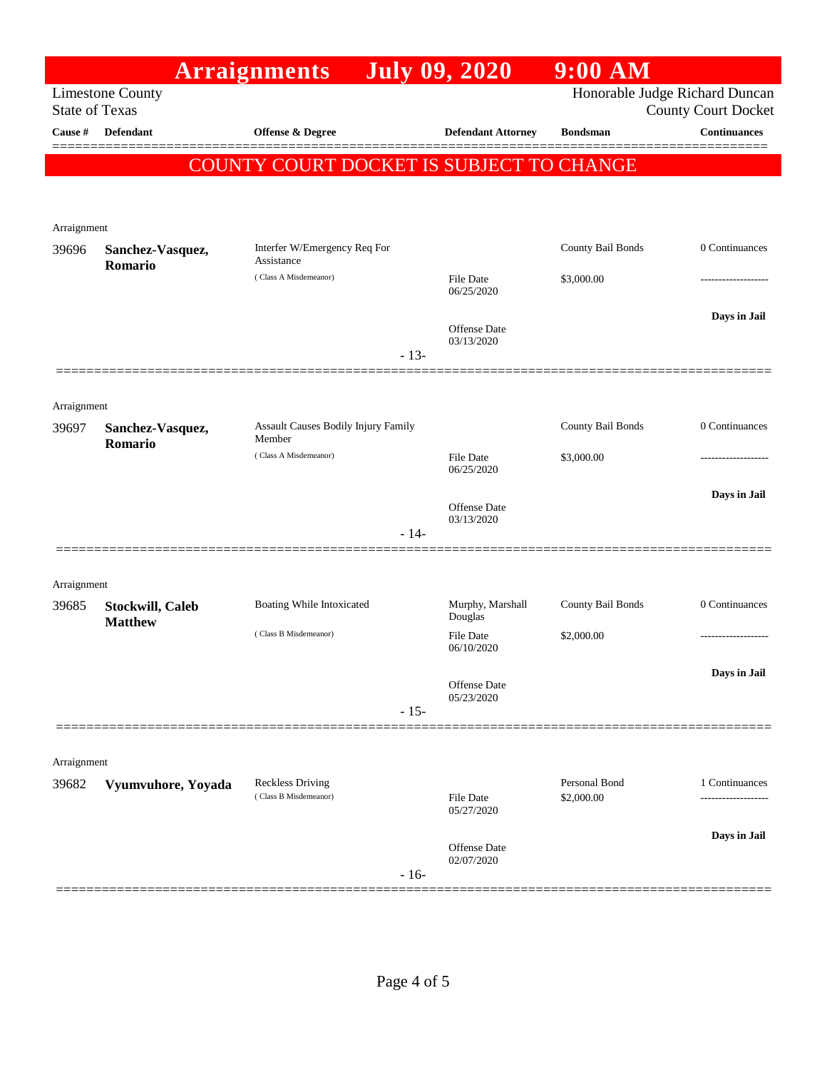|                       |                         | <b>Arraignments</b>                           |        | <b>July 09, 2020</b>           | 9:00 AM                     |                                |
|-----------------------|-------------------------|-----------------------------------------------|--------|--------------------------------|-----------------------------|--------------------------------|
|                       | <b>Limestone County</b> |                                               |        |                                |                             | Honorable Judge Richard Duncan |
| <b>State of Texas</b> |                         |                                               |        |                                |                             | <b>County Court Docket</b>     |
| Cause #               | Defendant               | Offense & Degree                              |        | <b>Defendant Attorney</b>      | <b>Bondsman</b>             | <b>Continuances</b>            |
|                       |                         | COUNTY COURT DOCKET IS SUBJECT TO CHANGE      |        |                                |                             |                                |
|                       |                         |                                               |        |                                |                             |                                |
|                       |                         |                                               |        |                                |                             |                                |
| Arraignment<br>39696  | Sanchez-Vasquez,        | Interfer W/Emergency Req For                  |        |                                | County Bail Bonds           | 0 Continuances                 |
|                       | Romario                 | Assistance                                    |        |                                |                             |                                |
|                       |                         | (Class A Misdemeanor)                         |        | File Date<br>06/25/2020        | \$3,000.00                  |                                |
|                       |                         |                                               |        |                                |                             | Days in Jail                   |
|                       |                         |                                               |        | Offense Date<br>03/13/2020     |                             |                                |
|                       |                         |                                               | $-13-$ |                                |                             |                                |
|                       |                         |                                               |        |                                |                             |                                |
| Arraignment           |                         |                                               |        |                                |                             |                                |
| 39697                 | Sanchez-Vasquez,        | Assault Causes Bodily Injury Family<br>Member |        |                                | County Bail Bonds           | 0 Continuances                 |
|                       | Romario                 | (Class A Misdemeanor)                         |        | File Date                      | \$3,000.00                  |                                |
|                       |                         |                                               |        | 06/25/2020                     |                             |                                |
|                       |                         |                                               |        | <b>Offense</b> Date            |                             | Days in Jail                   |
|                       |                         |                                               | $-14-$ | 03/13/2020                     |                             |                                |
|                       |                         |                                               |        |                                |                             |                                |
|                       |                         |                                               |        |                                |                             |                                |
| Arraignment<br>39685  | <b>Stockwill, Caleb</b> | Boating While Intoxicated                     |        | Murphy, Marshall               | County Bail Bonds           | 0 Continuances                 |
|                       | <b>Matthew</b>          |                                               |        | Douglas                        |                             |                                |
|                       |                         | (Class B Misdemeanor)                         |        | <b>File Date</b><br>06/10/2020 | \$2,000.00                  |                                |
|                       |                         |                                               |        |                                |                             | Days in Jail                   |
|                       |                         |                                               |        | Offense Date<br>05/23/2020     |                             |                                |
|                       |                         |                                               | $-15-$ |                                |                             |                                |
|                       |                         |                                               |        |                                |                             |                                |
| Arraignment           |                         |                                               |        |                                |                             |                                |
| 39682                 | Vyumvuhore, Yoyada      | Reckless Driving<br>(Class B Misdemeanor)     |        | <b>File Date</b>               | Personal Bond<br>\$2,000.00 | 1 Continuances                 |
|                       |                         |                                               |        | 05/27/2020                     |                             |                                |
|                       |                         |                                               |        |                                |                             | Days in Jail                   |
|                       |                         |                                               |        | Offense Date<br>02/07/2020     |                             |                                |
|                       |                         |                                               | $-16-$ |                                |                             |                                |